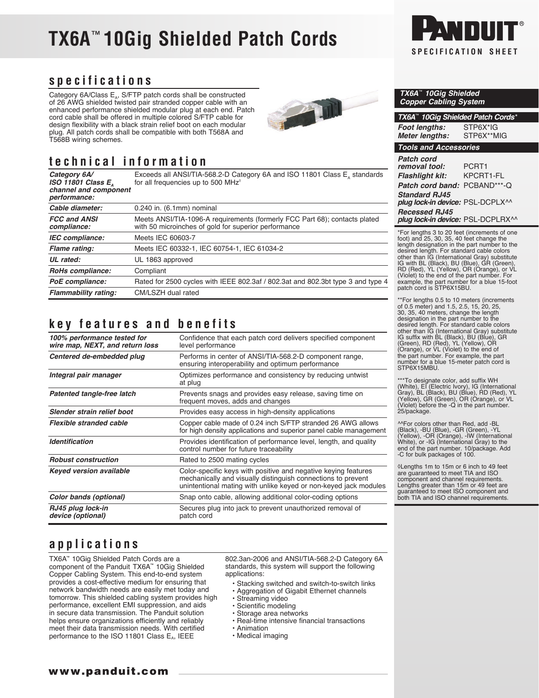# **TX6A**™ **10Gig Shielded Patch Cords SPECIFICATION SHEET**



#### **specifications**

Category 6A/Class  $E_{4}$ , S/FTP patch cords shall be constructed of 26 AWG shielded twisted pair stranded copper cable with an enhanced performance shielded modular plug at each end. Patch cord cable shall be offered in multiple colored S/FTP cable for design flexibility with a black strain relief boot on each modular plug. All patch cords shall be compatible with both T568A and T568B wiring schemes.

## **technical information**

**Category 6A/** Exceeds all ANSI/TIA-568.2-D Category 6A and ISO 11801 Class E<sub>A</sub> standards **ISO 11801 Class E<sub>A</sub>** standards for all frequencies up to 500 MHz<sup>®</sup> *channel and component performance: Cable diameter:* 0.240 in. (6.1mm) nominal **FCC and ANSI** Meets ANSI/TIA-1096-A requirements (formerly FCC Part 68); contacts plated **compliance:** with 50 microinches of gold for superior performance with 50 microinches of gold for superior performance

| IEC compliance:             | Meets IEC 60603-7                                                               |
|-----------------------------|---------------------------------------------------------------------------------|
| Flame rating:               | Meets IEC 60332-1, IEC 60754-1, IEC 61034-2                                     |
| UL rated:                   | UL 1863 approved                                                                |
| RoHs compliance:            | Compliant                                                                       |
| PoE compliance:             | Rated for 2500 cycles with IEEE 802.3af / 802.3at and 802.3bt type 3 and type 4 |
| <b>Flammability rating:</b> | CM/LSZH dual rated                                                              |

## **key features and benefits**

| 100% performance tested for<br>wire map, NEXT, and return loss<br>level performance<br>Centered de-embedded plug<br>Performs in center of ANSI/TIA-568.2-D component range,<br>ensuring interoperability and optimum performance<br>Optimizes performance and consistency by reducing untwist<br>Integral pair manager<br>at plug<br>Patented tangle-free latch<br>Prevents snags and provides easy release, saving time on<br>frequent moves, adds and changes<br>Slender strain relief boot<br>Provides easy access in high-density applications<br>Flexible stranded cable<br><b>Identification</b><br>control number for future traceability<br><b>Robust construction</b><br>Rated to 2500 mating cycles<br>Color-specific keys with positive and negative keying features<br><b>Keyed version available</b><br>mechanically and visually distinguish connections to prevent<br>Snap onto cable, allowing additional color-coding options<br>Color bands (optional)<br>RJ45 plug lock-in<br>Secures plug into jack to prevent unauthorized removal of<br>device (optional)<br>patch cord |                                                                                                                                  |  |
|-----------------------------------------------------------------------------------------------------------------------------------------------------------------------------------------------------------------------------------------------------------------------------------------------------------------------------------------------------------------------------------------------------------------------------------------------------------------------------------------------------------------------------------------------------------------------------------------------------------------------------------------------------------------------------------------------------------------------------------------------------------------------------------------------------------------------------------------------------------------------------------------------------------------------------------------------------------------------------------------------------------------------------------------------------------------------------------------------|----------------------------------------------------------------------------------------------------------------------------------|--|
|                                                                                                                                                                                                                                                                                                                                                                                                                                                                                                                                                                                                                                                                                                                                                                                                                                                                                                                                                                                                                                                                                               | Confidence that each patch cord delivers specified component                                                                     |  |
|                                                                                                                                                                                                                                                                                                                                                                                                                                                                                                                                                                                                                                                                                                                                                                                                                                                                                                                                                                                                                                                                                               |                                                                                                                                  |  |
|                                                                                                                                                                                                                                                                                                                                                                                                                                                                                                                                                                                                                                                                                                                                                                                                                                                                                                                                                                                                                                                                                               |                                                                                                                                  |  |
|                                                                                                                                                                                                                                                                                                                                                                                                                                                                                                                                                                                                                                                                                                                                                                                                                                                                                                                                                                                                                                                                                               |                                                                                                                                  |  |
|                                                                                                                                                                                                                                                                                                                                                                                                                                                                                                                                                                                                                                                                                                                                                                                                                                                                                                                                                                                                                                                                                               |                                                                                                                                  |  |
|                                                                                                                                                                                                                                                                                                                                                                                                                                                                                                                                                                                                                                                                                                                                                                                                                                                                                                                                                                                                                                                                                               | Copper cable made of 0.24 inch S/FTP stranded 26 AWG allows<br>for high density applications and superior panel cable management |  |
|                                                                                                                                                                                                                                                                                                                                                                                                                                                                                                                                                                                                                                                                                                                                                                                                                                                                                                                                                                                                                                                                                               | Provides identification of performance level, length, and quality                                                                |  |
|                                                                                                                                                                                                                                                                                                                                                                                                                                                                                                                                                                                                                                                                                                                                                                                                                                                                                                                                                                                                                                                                                               |                                                                                                                                  |  |
|                                                                                                                                                                                                                                                                                                                                                                                                                                                                                                                                                                                                                                                                                                                                                                                                                                                                                                                                                                                                                                                                                               | unintentional mating with unlike keyed or non-keyed jack modules                                                                 |  |
|                                                                                                                                                                                                                                                                                                                                                                                                                                                                                                                                                                                                                                                                                                                                                                                                                                                                                                                                                                                                                                                                                               |                                                                                                                                  |  |
|                                                                                                                                                                                                                                                                                                                                                                                                                                                                                                                                                                                                                                                                                                                                                                                                                                                                                                                                                                                                                                                                                               |                                                                                                                                  |  |

### **applications**

TX6A™ 10Gig Shielded Patch Cords are a component of the Panduit TX6A™ 10Gig Shielded Copper Cabling System. This end-to-end system provides a cost-effective medium for ensuring that network bandwidth needs are easily met today and tomorrow. This shielded cabling system provides high performance, excellent EMI suppression, and aids in secure data transmission. The Panduit solution helps ensure organizations efficiently and reliably meet their data transmission needs. With certified performance to the ISO 11801 Class  $E_A$ , IEEE

802.3an-2006 and ANSI/TIA-568.2-D Category 6A standards, this system will support the following applications:

全面

- Stacking switched and switch-to-switch links
- Aggregation of Gigabit Ethernet channels
- Streaming video
- Scientific modeling
- Storage area networks
- Real-time intensive financial transactions
- Animation
- Medical imaging

|  | <b>TX6A<sup>**</sup> 10Gig Shielded</b> |
|--|-----------------------------------------|
|  | <b>Copper Cabling System</b>            |

| TX6A <sup>**</sup> 10Gig Shielded Patch Cords*            |                        |
|-----------------------------------------------------------|------------------------|
| <b>Foot lengths:</b><br><b>Meter lengths:</b>             | STP6X*IG<br>STP6X**MIG |
| <b>Tools and Accessories</b>                              |                        |
| Patch cord<br>removal tool:                               | PCRT1                  |
| <b>Flashlight kit:</b>                                    | KPCRT1-FI              |
| Patch cord band:                                          | PCBAND***-Q            |
| <b>Standard RJ45</b><br>plug lock-in device: PSL-DCPLX^^  |                        |
| <b>Recessed RJ45</b><br>plug lock-in device: PSL-DCPLRX^^ |                        |

\*For lengths 3 to 20 feet (increments of one<br>foot) and 25, 30, 35, 40 feet change the<br>length designation in the part number to the<br>desired length. For standard cable colors<br>other than IG (International Gray) substitute<br>IG

\*\*For lengths 0.5 to 10 meters (increments of 0.5 meter) and 1.5, 2.5, 15, 20, 25, 30, 35, 40 meters, change the length designation in the part number to the desired length. For standard cable colors other than IG (International Gray) substitute IG suffix with BL (Black), BU (Blue), GR (Green), RD (Red), YL (Yellow), OR (Orange), or VL (Violet) to the end of the part number. For example, the part number for a blue 15-meter patch cord is STP6X15MBU.

\*\*\*To designate color, add suffix WH (White), EI (Electric Ivory), IG (International Gray), BL (Black), BU (Blue), RD (Red), YL (Yellow), GR (Green), OR (Orange), or VL (Violet) before the -Q in the part number. 25/package.

^^For colors other than Red, add -BL (Black), -BU (Blue), -GR (Green), -YL (Yellow), -OR (Orange), -IW (International White), or -IG (International Gray) to the end of the part number. 10/package. Add -C for bulk packages of 100.

◊Lengths 1m to 15m or 6 inch to 49 feet are guaranteed to meet TIA and ISO component and channel requirements. Lengths greater than 15m or 49 feet are guaranteed to meet ISO component and both TIA and ISO channel requirements.